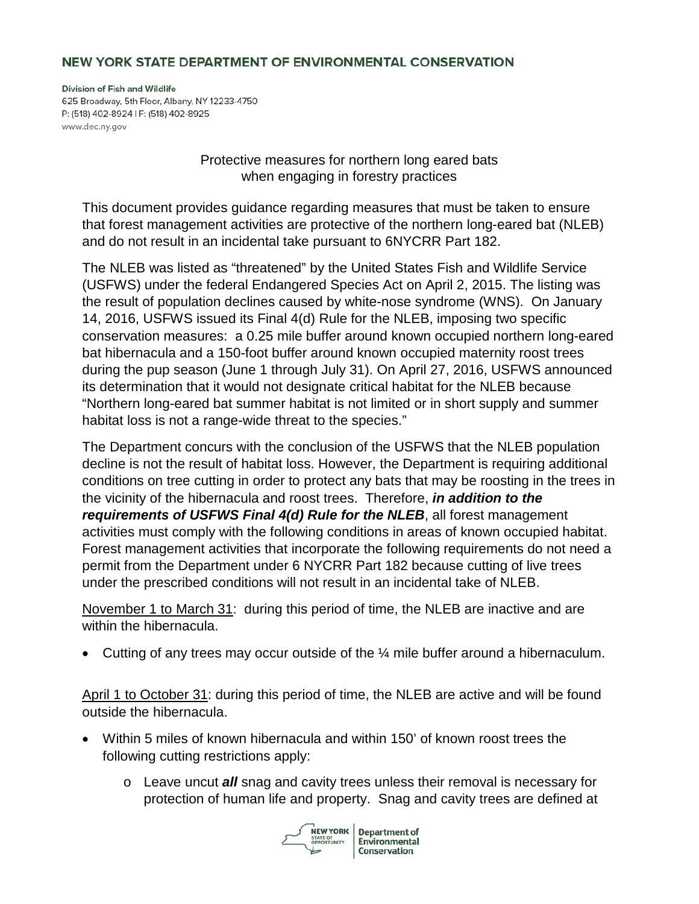## NEW YORK STATE DEPARTMENT OF ENVIRONMENTAL CONSERVATION

Division of Fish and Wildlife 625 Broadway, 5th Floor, Albany, NY 12233-4750 P: (518) 402-8924 | F: (518) 402-8925 www.dec.ny.gov

> Protective measures for northern long eared bats when engaging in forestry practices

This document provides guidance regarding measures that must be taken to ensure that forest management activities are protective of the northern long-eared bat (NLEB) and do not result in an incidental take pursuant to 6NYCRR Part 182.

The NLEB was listed as "threatened" by the United States Fish and Wildlife Service (USFWS) under the federal Endangered Species Act on April 2, 2015. The listing was the result of population declines caused by white-nose syndrome (WNS). On January 14, 2016, USFWS issued its Final 4(d) Rule for the NLEB, imposing two specific conservation measures: a 0.25 mile buffer around known occupied northern long-eared bat hibernacula and a 150-foot buffer around known occupied maternity roost trees during the pup season (June 1 through July 31). On April 27, 2016, USFWS announced its determination that it would not designate critical habitat for the NLEB because "Northern long-eared bat summer habitat is not limited or in short supply and summer habitat loss is not a range-wide threat to the species."

The Department concurs with the conclusion of the USFWS that the NLEB population decline is not the result of habitat loss. However, the Department is requiring additional conditions on tree cutting in order to protect any bats that may be roosting in the trees in the vicinity of the hibernacula and roost trees. Therefore, *in addition to the requirements of USFWS Final 4(d) Rule for the NLEB*, all forest management activities must comply with the following conditions in areas of known occupied habitat. Forest management activities that incorporate the following requirements do not need a permit from the Department under 6 NYCRR Part 182 because cutting of live trees under the prescribed conditions will not result in an incidental take of NLEB.

November 1 to March 31: during this period of time, the NLEB are inactive and are within the hibernacula.

• Cutting of any trees may occur outside of the ¼ mile buffer around a hibernaculum.

April 1 to October 31: during this period of time, the NLEB are active and will be found outside the hibernacula.

- Within 5 miles of known hibernacula and within 150' of known roost trees the following cutting restrictions apply:
	- o Leave uncut *all* snag and cavity trees unless their removal is necessary for protection of human life and property. Snag and cavity trees are defined at